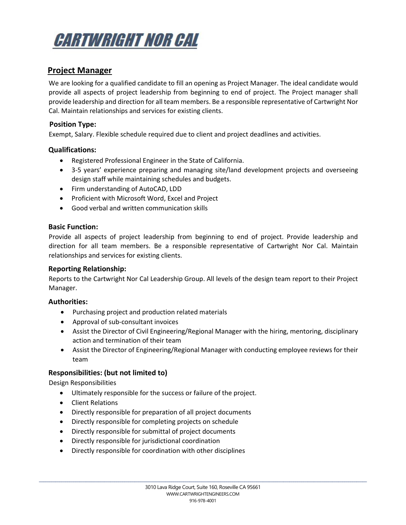

# **Project Manager**

We are looking for a qualified candidate to fill an opening as Project Manager. The ideal candidate would provide all aspects of project leadership from beginning to end of project. The Project manager shall provide leadership and direction for all team members. Be a responsible representative of Cartwright Nor Cal. Maintain relationships and services for existing clients.

# **Position Type:**

Exempt, Salary. Flexible schedule required due to client and project deadlines and activities.

## **Qualifications:**

- Registered Professional Engineer in the State of California.
- 3-5 years' experience preparing and managing site/land development projects and overseeing design staff while maintaining schedules and budgets.
- Firm understanding of AutoCAD, LDD
- Proficient with Microsoft Word, Excel and Project
- Good verbal and written communication skills

## **Basic Function:**

Provide all aspects of project leadership from beginning to end of project. Provide leadership and direction for all team members. Be a responsible representative of Cartwright Nor Cal. Maintain relationships and services for existing clients.

#### **Reporting Relationship:**

Reports to the Cartwright Nor Cal Leadership Group. All levels of the design team report to their Project Manager.

#### **Authorities:**

- Purchasing project and production related materials
- Approval of sub-consultant invoices
- Assist the Director of Civil Engineering/Regional Manager with the hiring, mentoring, disciplinary action and termination of their team
- Assist the Director of Engineering/Regional Manager with conducting employee reviews for their team

# **Responsibilities: (but not limited to)**

Design Responsibilities

- Ultimately responsible for the success or failure of the project.
- Client Relations
- Directly responsible for preparation of all project documents
- Directly responsible for completing projects on schedule
- Directly responsible for submittal of project documents
- Directly responsible for jurisdictional coordination
- Directly responsible for coordination with other disciplines

\_\_\_\_\_\_\_\_\_\_\_\_\_\_\_\_\_\_\_\_\_\_\_\_\_\_\_\_\_\_\_\_\_\_\_\_\_\_\_\_\_\_\_\_\_\_\_\_\_\_\_\_\_\_\_\_\_\_\_\_\_\_\_\_\_\_\_\_\_\_\_\_\_\_\_\_\_\_\_\_\_\_\_\_\_\_\_\_\_\_\_\_\_\_\_\_\_\_\_\_\_\_\_\_\_\_\_\_\_\_\_\_\_\_\_\_\_\_\_\_\_\_\_\_\_\_\_\_\_\_\_\_\_\_\_\_\_\_\_\_\_\_\_\_\_\_\_\_\_\_\_\_\_\_\_\_\_\_\_\_\_